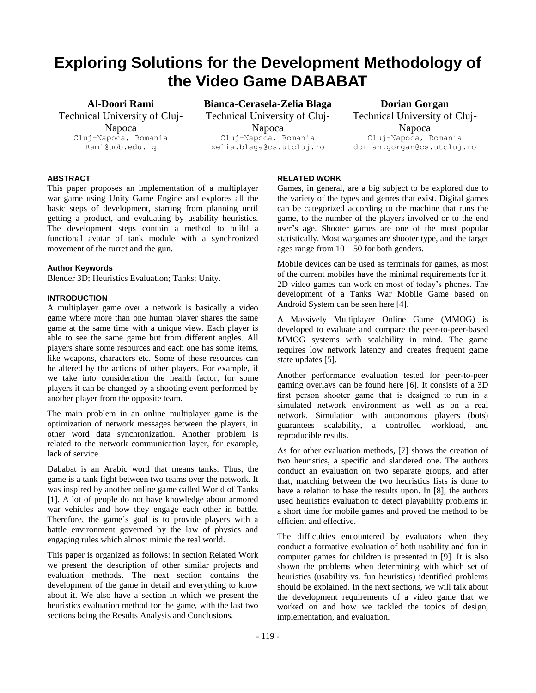# **Exploring Solutions for the Development Methodology of the Video Game DABABAT**

**Al-Doori Rami**

Technical University of Cluj-Napoca Cluj-Napoca, Romania Rami@uob.edu.iq

**Bianca-Cerasela-Zelia Blaga** Technical University of Cluj-Napoca Cluj-Napoca, Romania zelia.blaga@cs.utcluj.ro

**Dorian Gorgan** Technical University of Cluj-Napoca Cluj-Napoca, Romania dorian.gorgan@cs.utcluj.ro

# **ABSTRACT**

This paper proposes an implementation of a multiplayer war game using Unity Game Engine and explores all the basic steps of development, starting from planning until getting a product, and evaluating by usability heuristics. The development steps contain a method to build a functional avatar of tank module with a synchronized movement of the turret and the gun.

#### **Author Keywords**

Blender 3D; Heuristics Evaluation; Tanks; Unity.

## **INTRODUCTION**

A multiplayer game over a network is basically a video game where more than one human player shares the same game at the same time with a unique view. Each player is able to see the same game but from different angles. All players share some resources and each one has some items, like weapons, characters etc. Some of these resources can be altered by the actions of other players. For example, if we take into consideration the health factor, for some players it can be changed by a shooting event performed by another player from the opposite team.

The main problem in an online multiplayer game is the optimization of network messages between the players, in other word data synchronization. Another problem is related to the network communication layer, for example, lack of service.

Dababat is an Arabic word that means tanks. Thus, the game is a tank fight between two teams over the network. It was inspired by another online game called World of Tanks [1]. A lot of people do not have knowledge about armored war vehicles and how they engage each other in battle. Therefore, the game's goal is to provide players with a battle environment governed by the law of physics and engaging rules which almost mimic the real world.

This paper is organized as follows: in section Related Work we present the description of other similar projects and evaluation methods. The next section contains the development of the game in detail and everything to know about it. We also have a section in which we present the heuristics evaluation method for the game, with the last two sections being the Results Analysis and Conclusions.

# **RELATED WORK**

Games, in general, are a big subject to be explored due to the variety of the types and genres that exist. Digital games can be categorized according to the machine that runs the game, to the number of the players involved or to the end user's age. Shooter games are one of the most popular statistically. Most wargames are shooter type, and the target ages range from  $10 - 50$  for both genders.

Mobile devices can be used as terminals for games, as most of the current mobiles have the minimal requirements for it. 2D video games can work on most of today's phones. The development of a Tanks War Mobile Game based on Android System can be seen here [4].

A Massively Multiplayer Online Game (MMOG) is developed to evaluate and compare the peer-to-peer-based MMOG systems with scalability in mind. The game requires low network latency and creates frequent game state updates [5].

Another performance evaluation tested for peer-to-peer gaming overlays can be found here [6]. It consists of a 3D first person shooter game that is designed to run in a simulated network environment as well as on a real network. Simulation with autonomous players (bots) guarantees scalability, a controlled workload, and reproducible results.

As for other evaluation methods, [7] shows the creation of two heuristics, a specific and slandered one. The authors conduct an evaluation on two separate groups, and after that, matching between the two heuristics lists is done to have a relation to base the results upon. In [8], the authors used heuristics evaluation to detect playability problems in a short time for mobile games and proved the method to be efficient and effective.

The difficulties encountered by evaluators when they conduct a formative evaluation of both usability and fun in computer games for children is presented in [9]. It is also shown the problems when determining with which set of heuristics (usability vs. fun heuristics) identified problems should be explained. In the next sections, we will talk about the development requirements of a video game that we worked on and how we tackled the topics of design, implementation, and evaluation.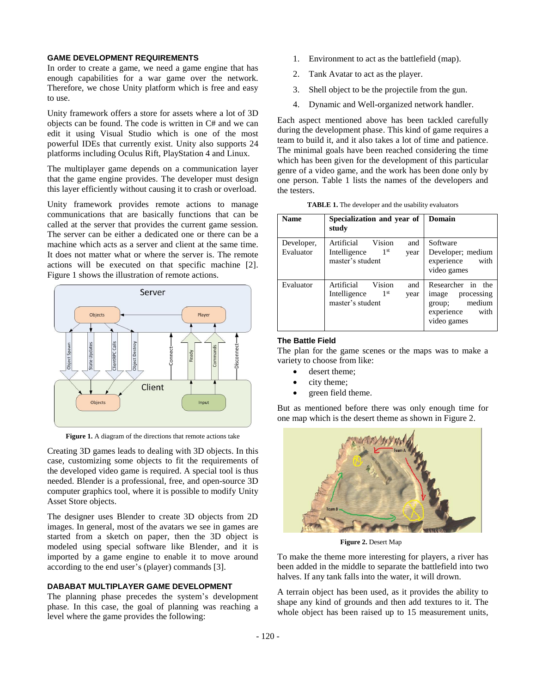## **GAME DEVELOPMENT REQUIREMENTS**

In order to create a game, we need a game engine that has enough capabilities for a war game over the network. Therefore, we chose Unity platform which is free and easy to use.

Unity framework offers a store for assets where a lot of 3D objects can be found. The code is written in C# and we can edit it using Visual Studio which is one of the most powerful IDEs that currently exist. Unity also supports 24 platforms including Oculus Rift, PlayStation 4 and Linux.

The multiplayer game depends on a communication layer that the game engine provides. The developer must design this layer efficiently without causing it to crash or overload.

Unity framework provides remote actions to manage communications that are basically functions that can be called at the server that provides the current game session. The server can be either a dedicated one or there can be a machine which acts as a server and client at the same time. It does not matter what or where the server is. The remote actions will be executed on that specific machine [2]. Figure 1 shows the illustration of remote actions.



**Figure 1.** A diagram of the directions that remote actions take

Creating 3D games leads to dealing with 3D objects. In this case, customizing some objects to fit the requirements of the developed video game is required. A special tool is thus needed. Blender is a professional, free, and open-source 3D computer graphics tool, where it is possible to modify Unity Asset Store objects.

The designer uses Blender to create 3D objects from 2D images. In general, most of the avatars we see in games are started from a sketch on paper, then the 3D object is modeled using special software like Blender, and it is imported by a game engine to enable it to move around according to the end user's (player) commands [3].

#### **DABABAT MULTIPLAYER GAME DEVELOPMENT**

The planning phase precedes the system's development phase. In this case, the goal of planning was reaching a level where the game provides the following:

- 1. Environment to act as the battlefield (map).
- 2. Tank Avatar to act as the player.
- 3. Shell object to be the projectile from the gun.
- 4. Dynamic and Well-organized network handler.

Each aspect mentioned above has been tackled carefully during the development phase. This kind of game requires a team to build it, and it also takes a lot of time and patience. The minimal goals have been reached considering the time which has been given for the development of this particular genre of a video game, and the work has been done only by one person. Table 1 lists the names of the developers and the testers.

**TABLE 1.** The developer and the usability evaluators

| <b>Name</b>             | Specialization and year of<br>study                                                        | Domain                                                                                            |
|-------------------------|--------------------------------------------------------------------------------------------|---------------------------------------------------------------------------------------------------|
| Developer,<br>Evaluator | Vision<br>Artificial<br>and<br>1 <sup>st</sup><br>Intelligence<br>year<br>master's student | Software<br>Developer; medium<br>experience<br>with<br>video games                                |
| Evaluator               | Vision<br>Artificial<br>and<br>1 <sup>st</sup><br>Intelligence<br>year<br>master's student | Researcher in the<br>processing<br>image<br>medium<br>group;<br>experience<br>with<br>video games |

## **The Battle Field**

The plan for the game scenes or the maps was to make a variety to choose from like:

- desert theme;
- city theme:
- green field theme.

But as mentioned before there was only enough time for one map which is the desert theme as shown in Figure 2.



**Figure 2.** Desert Map

To make the theme more interesting for players, a river has been added in the middle to separate the battlefield into two halves. If any tank falls into the water, it will drown.

A terrain object has been used, as it provides the ability to shape any kind of grounds and then add textures to it. The whole object has been raised up to 15 measurement units,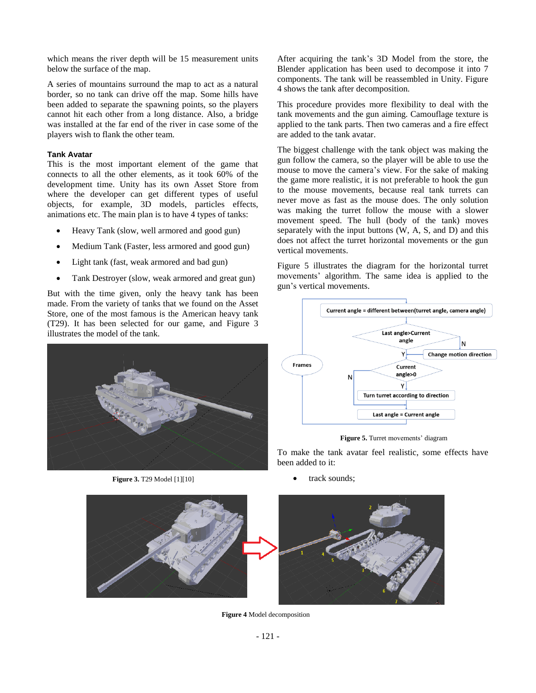which means the river depth will be 15 measurement units below the surface of the map.

A series of mountains surround the map to act as a natural border, so no tank can drive off the map. Some hills have been added to separate the spawning points, so the players cannot hit each other from a long distance. Also, a bridge was installed at the far end of the river in case some of the players wish to flank the other team.

#### **Tank Avatar**

This is the most important element of the game that connects to all the other elements, as it took 60% of the development time. Unity has its own Asset Store from where the developer can get different types of useful objects, for example, 3D models, particles effects, animations etc. The main plan is to have 4 types of tanks:

- Heavy Tank (slow, well armored and good gun)
- Medium Tank (Faster, less armored and good gun)
- Light tank (fast, weak armored and bad gun)
- Tank Destroyer (slow, weak armored and great gun)

But with the time given, only the heavy tank has been made. From the variety of tanks that we found on the Asset Store, one of the most famous is the American heavy tank (T29). It has been selected for our game, and Figure 3 illustrates the model of the tank.



**Figure 3.** T29 Model [1][10]

After acquiring the tank's 3D Model from the store, the Blender application has been used to decompose it into 7 components. The tank will be reassembled in Unity. Figure 4 shows the tank after decomposition.

This procedure provides more flexibility to deal with the tank movements and the gun aiming. Camouflage texture is applied to the tank parts. Then two cameras and a fire effect are added to the tank avatar.

The biggest challenge with the tank object was making the gun follow the camera, so the player will be able to use the mouse to move the camera's view. For the sake of making the game more realistic, it is not preferable to hook the gun to the mouse movements, because real tank turrets can never move as fast as the mouse does. The only solution was making the turret follow the mouse with a slower movement speed. The hull (body of the tank) moves separately with the input buttons (W, A, S, and D) and this does not affect the turret horizontal movements or the gun vertical movements.

Figure 5 illustrates the diagram for the horizontal turret movements' algorithm. The same idea is applied to the gun's vertical movements.



**Figure 5.** Turret movements' diagram

To make the tank avatar feel realistic, some effects have been added to it:

track sounds:



**Figure 4** Model decomposition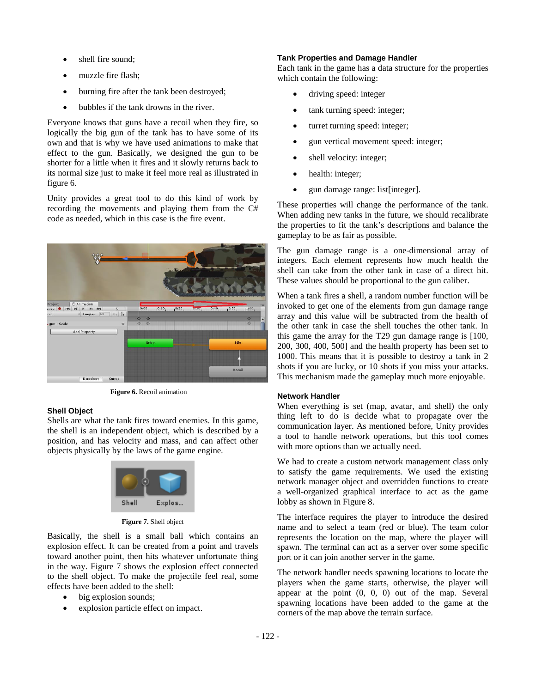- shell fire sound:
- muzzle fire flash;
- burning fire after the tank been destroyed;
- bubbles if the tank drowns in the river.

Everyone knows that guns have a recoil when they fire, so logically the big gun of the tank has to have some of its own and that is why we have used animations to make that effect to the gun. Basically, we designed the gun to be shorter for a little when it fires and it slowly returns back to its normal size just to make it feel more real as illustrated in figure 6.

Unity provides a great tool to do this kind of work by recording the movements and playing them from the C# code as needed, which in this case is the fire event.



**Figure 6.** Recoil animation

#### **Shell Object**

Shells are what the tank fires toward enemies. In this game, the shell is an independent object, which is described by a position, and has velocity and mass, and can affect other objects physically by the laws of the game engine.



**Figure 7.** Shell object

Basically, the shell is a small ball which contains an explosion effect. It can be created from a point and travels toward another point, then hits whatever unfortunate thing in the way. Figure 7 shows the explosion effect connected to the shell object. To make the projectile feel real, some effects have been added to the shell:

- big explosion sounds;
- explosion particle effect on impact.

## **Tank Properties and Damage Handler**

Each tank in the game has a data structure for the properties which contain the following:

- driving speed: integer
- tank turning speed: integer;
- turret turning speed: integer;
- gun vertical movement speed: integer;
- shell velocity: integer;
- health: integer;
- gun damage range: list[integer].

These properties will change the performance of the tank. When adding new tanks in the future, we should recalibrate the properties to fit the tank's descriptions and balance the gameplay to be as fair as possible.

The gun damage range is a one-dimensional array of integers. Each element represents how much health the shell can take from the other tank in case of a direct hit. These values should be proportional to the gun caliber.

When a tank fires a shell, a random number function will be invoked to get one of the elements from gun damage range array and this value will be subtracted from the health of the other tank in case the shell touches the other tank. In this game the array for the T29 gun damage range is [100, 200, 300, 400, 500] and the health property has been set to 1000. This means that it is possible to destroy a tank in 2 shots if you are lucky, or 10 shots if you miss your attacks. This mechanism made the gameplay much more enjoyable.

## **Network Handler**

When everything is set (map, avatar, and shell) the only thing left to do is decide what to propagate over the communication layer. As mentioned before, Unity provides a tool to handle network operations, but this tool comes with more options than we actually need.

We had to create a custom network management class only to satisfy the game requirements. We used the existing network manager object and overridden functions to create a well-organized graphical interface to act as the game lobby as shown in Figure 8.

The interface requires the player to introduce the desired name and to select a team (red or blue). The team color represents the location on the map, where the player will spawn. The terminal can act as a server over some specific port or it can join another server in the game.

The network handler needs spawning locations to locate the players when the game starts, otherwise, the player will appear at the point (0, 0, 0) out of the map. Several spawning locations have been added to the game at the corners of the map above the terrain surface.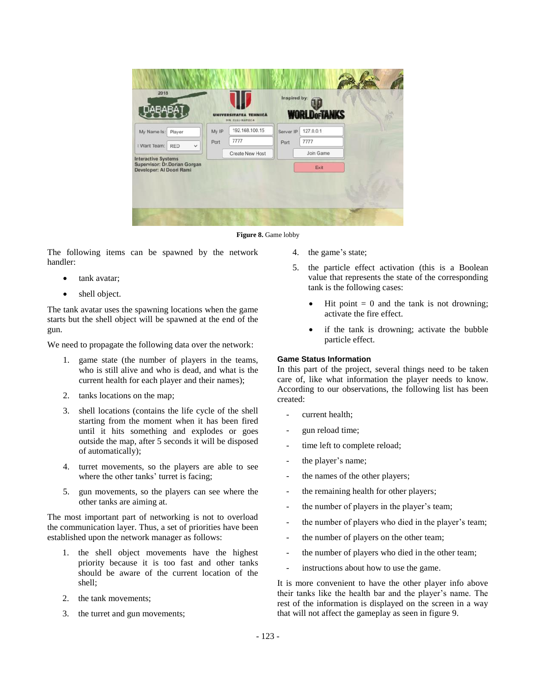| 2018<br>ABAB                                                                           |       |                                            | Inspired by: |                      |  |
|----------------------------------------------------------------------------------------|-------|--------------------------------------------|--------------|----------------------|--|
|                                                                                        |       | <b>A TEHNICA</b><br><b>DIN CLUJ-NAFOCA</b> |              | <b>WORLD</b> orTANKS |  |
| My Name Is:<br>Player                                                                  | My IP | 192.168.100.15                             | Server IP    | 127.0.0.1            |  |
| I Want Team:<br><b>RED</b><br>$\checkmark$                                             | Port  | 7777                                       | Port         | 7777                 |  |
|                                                                                        |       | Create New Host                            |              | Join Game            |  |
| <b>Interactive Systems</b><br>Supervisor: Dr.Dorian Gorgan<br>Developer: Al Doori Rami |       |                                            |              | Exit                 |  |
|                                                                                        |       |                                            |              |                      |  |
|                                                                                        |       |                                            |              |                      |  |
|                                                                                        |       |                                            |              |                      |  |

Figure 8. Game lobby

The following items can be spawned by the network handler:

- tank avatar;
- shell object.

The tank avatar uses the spawning locations when the game starts but the shell object will be spawned at the end of the gun.

We need to propagate the following data over the network:

- 1. game state (the number of players in the teams, who is still alive and who is dead, and what is the current health for each player and their names);
- 2. tanks locations on the map;
- 3. shell locations (contains the life cycle of the shell starting from the moment when it has been fired until it hits something and explodes or goes outside the map, after 5 seconds it will be disposed of automatically);
- 4. turret movements, so the players are able to see where the other tanks' turret is facing;
- 5. gun movements, so the players can see where the other tanks are aiming at.

The most important part of networking is not to overload the communication layer. Thus, a set of priorities have been established upon the network manager as follows:

- 1. the shell object movements have the highest priority because it is too fast and other tanks should be aware of the current location of the shell;
- 2. the tank movements;
- 3. the turret and gun movements;
- 4. the game's state;
- 5. the particle effect activation (this is a Boolean value that represents the state of the corresponding tank is the following cases:
	- Hit point  $= 0$  and the tank is not drowning; activate the fire effect.
	- if the tank is drowning; activate the bubble particle effect.

# **Game Status Information**

In this part of the project, several things need to be taken care of, like what information the player needs to know. According to our observations, the following list has been created:

- current health;
- gun reload time;
- time left to complete reload;
- the player's name;
- the names of the other players;
- the remaining health for other players;
- the number of players in the player's team;
- the number of players who died in the player's team;
- the number of players on the other team;
- the number of players who died in the other team;
- instructions about how to use the game.

It is more convenient to have the other player info above their tanks like the health bar and the player's name. The rest of the information is displayed on the screen in a way that will not affect the gameplay as seen in figure 9.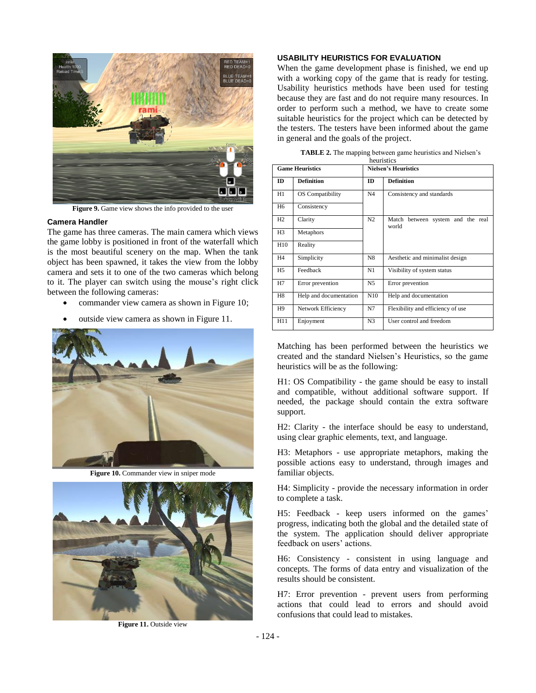

**Figure 9.** Game view shows the info provided to the user

#### **Camera Handler**

The game has three cameras. The main camera which views the game lobby is positioned in front of the waterfall which is the most beautiful scenery on the map. When the tank object has been spawned, it takes the view from the lobby camera and sets it to one of the two cameras which belong to it. The player can switch using the mouse's right click between the following cameras:

- commander view camera as shown in Figure 10;
- outside view camera as shown in Figure 11.



**Figure 10.** Commander view in sniper mode



**Figure 11.** Outside view

#### **USABILITY HEURISTICS FOR EVALUATION**

When the game development phase is finished, we end up with a working copy of the game that is ready for testing. Usability heuristics methods have been used for testing because they are fast and do not require many resources. In order to perform such a method, we have to create some suitable heuristics for the project which can be detected by the testers. The testers have been informed about the game in general and the goals of the project.

| heuristics             |                        |                      |                                               |  |
|------------------------|------------------------|----------------------|-----------------------------------------------|--|
| <b>Game Heuristics</b> |                        | Nielsen's Heuristics |                                               |  |
| ID                     | <b>Definition</b>      | <b>ID</b>            | <b>Definition</b>                             |  |
| H1                     | OS Compatibility       | N4                   | Consistency and standards                     |  |
| H6                     | Consistency            |                      |                                               |  |
| H <sub>2</sub>         | Clarity                | N2                   | Match<br>between system and the real<br>world |  |
| H <sub>3</sub>         | Metaphors              |                      |                                               |  |
| H10                    | Reality                |                      |                                               |  |
| H <sub>4</sub>         | Simplicity             | N8                   | Aesthetic and minimalist design               |  |
| H <sub>5</sub>         | Feedback               | N1                   | Visibility of system status                   |  |
| H7                     | Error prevention       | N <sub>5</sub>       | Error prevention                              |  |
| H8                     | Help and documentation | N10                  | Help and documentation                        |  |
| H9                     | Network Efficiency     | N7                   | Flexibility and efficiency of use             |  |
| H11                    | Enjoyment              | N <sub>3</sub>       | User control and freedom                      |  |

**TABLE 2.** The mapping between game heuristics and Nielsen's

Matching has been performed between the heuristics we created and the standard Nielsen's Heuristics, so the game heuristics will be as the following:

H1: OS Compatibility - the game should be easy to install and compatible, without additional software support. If needed, the package should contain the extra software support.

H2: Clarity - the interface should be easy to understand, using clear graphic elements, text, and language.

H3: Metaphors - use appropriate metaphors, making the possible actions easy to understand, through images and familiar objects.

H4: Simplicity - provide the necessary information in order to complete a task.

H5: Feedback - keep users informed on the games' progress, indicating both the global and the detailed state of the system. The application should deliver appropriate feedback on users' actions.

H6: Consistency - consistent in using language and concepts. The forms of data entry and visualization of the results should be consistent.

H7: Error prevention - prevent users from performing actions that could lead to errors and should avoid confusions that could lead to mistakes.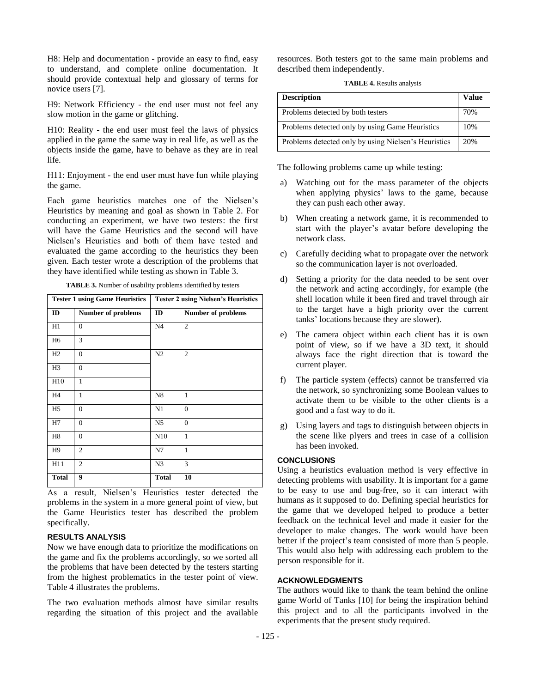H8: Help and documentation - provide an easy to find, easy to understand, and complete online documentation. It should provide contextual help and glossary of terms for novice users [7].

H9: Network Efficiency - the end user must not feel any slow motion in the game or glitching.

H10: Reality - the end user must feel the laws of physics applied in the game the same way in real life, as well as the objects inside the game, have to behave as they are in real life.

H11: Enjoyment - the end user must have fun while playing the game.

Each game heuristics matches one of the Nielsen's Heuristics by meaning and goal as shown in Table 2. For conducting an experiment, we have two testers: the first will have the Game Heuristics and the second will have Nielsen's Heuristics and both of them have tested and evaluated the game according to the heuristics they been given. Each tester wrote a description of the problems that they have identified while testing as shown in Table 3.

| <b>Tester 1 using Game Heuristics</b> |                           | <b>Tester 2 using Nielsen's Heuristics</b> |                    |
|---------------------------------------|---------------------------|--------------------------------------------|--------------------|
| ID                                    | <b>Number of problems</b> | ID                                         | Number of problems |
| H1                                    | $\overline{0}$            | N <sub>4</sub>                             | $\mathfrak{2}$     |
| H <sub>6</sub>                        | 3                         |                                            |                    |
| H2                                    | $\mathbf{0}$              | N <sub>2</sub>                             | $\mathfrak{2}$     |
| H <sub>3</sub>                        | $\mathbf{0}$              |                                            |                    |
| H10                                   | $\mathbf{1}$              |                                            |                    |
| H <sub>4</sub>                        | $\mathbf{1}$              | N <sub>8</sub>                             | 1                  |
| H <sub>5</sub>                        | $\mathbf{0}$              | N1                                         | $\mathbf{0}$       |
| H7                                    | $\mathbf{0}$              | N <sub>5</sub>                             | $\mathbf{0}$       |
| H <sub>8</sub>                        | $\mathbf{0}$              | N10                                        | 1                  |
| H <sub>9</sub>                        | $\overline{c}$            | N7                                         | $\mathbf{1}$       |
| H11                                   | $\overline{c}$            | N <sub>3</sub>                             | 3                  |
| <b>Total</b>                          | 9                         | <b>Total</b>                               | 10                 |

As a result, Nielsen's Heuristics tester detected the problems in the system in a more general point of view, but the Game Heuristics tester has described the problem specifically.

#### **RESULTS ANALYSIS**

Now we have enough data to prioritize the modifications on the game and fix the problems accordingly, so we sorted all the problems that have been detected by the testers starting from the highest problematics in the tester point of view. Table 4 illustrates the problems.

The two evaluation methods almost have similar results regarding the situation of this project and the available resources. Both testers got to the same main problems and described them independently.

**TABLE 4.** Results analysis

| <b>Description</b>                                   | Value |
|------------------------------------------------------|-------|
| Problems detected by both testers                    | 70%   |
| Problems detected only by using Game Heuristics      | 10%   |
| Problems detected only by using Nielsen's Heuristics | 20%   |

The following problems came up while testing:

- a) Watching out for the mass parameter of the objects when applying physics' laws to the game, because they can push each other away.
- b) When creating a network game, it is recommended to start with the player's avatar before developing the network class.
- c) Carefully deciding what to propagate over the network so the communication layer is not overloaded.
- d) Setting a priority for the data needed to be sent over the network and acting accordingly, for example (the shell location while it been fired and travel through air to the target have a high priority over the current tanks' locations because they are slower).
- e) The camera object within each client has it is own point of view, so if we have a 3D text, it should always face the right direction that is toward the current player.
- f) The particle system (effects) cannot be transferred via the network, so synchronizing some Boolean values to activate them to be visible to the other clients is a good and a fast way to do it.
- g) Using layers and tags to distinguish between objects in the scene like plyers and trees in case of a collision has been invoked.

#### **CONCLUSIONS**

Using a heuristics evaluation method is very effective in detecting problems with usability. It is important for a game to be easy to use and bug-free, so it can interact with humans as it supposed to do. Defining special heuristics for the game that we developed helped to produce a better feedback on the technical level and made it easier for the developer to make changes. The work would have been better if the project's team consisted of more than 5 people. This would also help with addressing each problem to the person responsible for it.

#### **ACKNOWLEDGMENTS**

The authors would like to thank the team behind the online game World of Tanks [10] for being the inspiration behind this project and to all the participants involved in the experiments that the present study required.